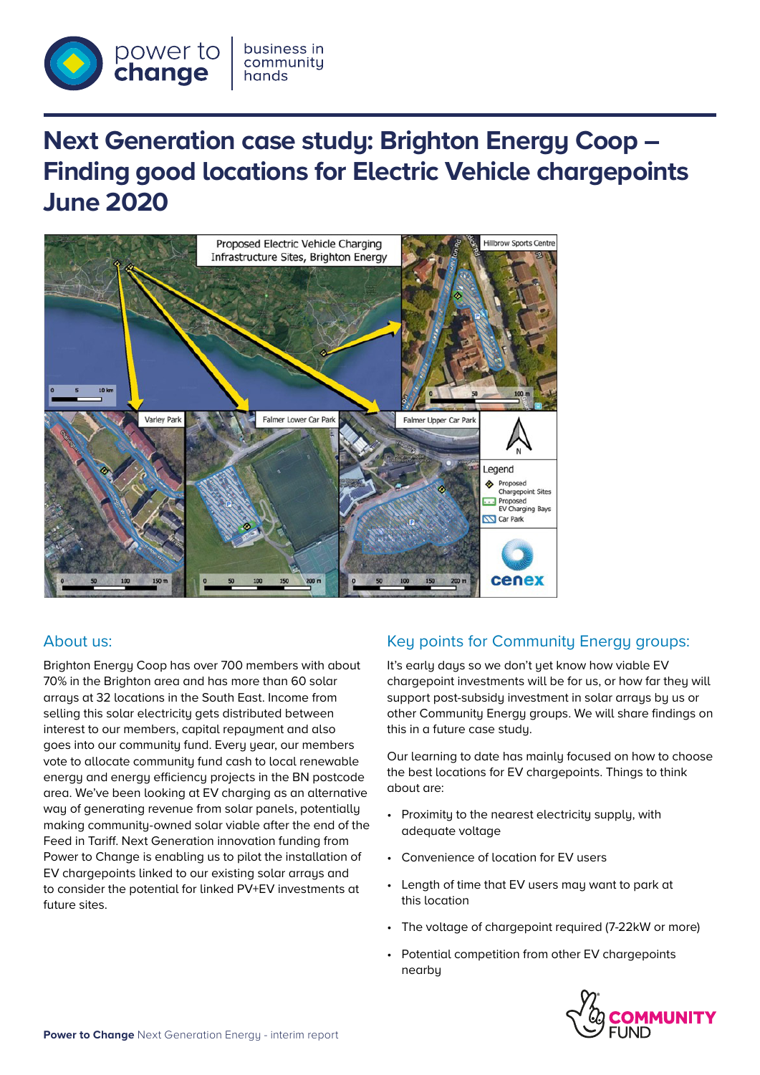

# **Next Generation case study: Brighton Energy Coop – Finding good locations for Electric Vehicle chargepoints June 2020**



## About us:

Brighton Energy Coop has over 700 members with about 70% in the Brighton area and has more than 60 solar arrays at 32 locations in the South East. Income from selling this solar electricity gets distributed between interest to our members, capital repayment and also goes into our community fund. Every year, our members vote to allocate community fund cash to local renewable energy and energy efficiency projects in the BN postcode area. We've been looking at EV charging as an alternative way of generating revenue from solar panels, potentially making community-owned solar viable after the end of the Feed in Tariff. Next Generation innovation funding from Power to Change is enabling us to pilot the installation of EV chargepoints linked to our existing solar arrays and to consider the potential for linked PV+EV investments at future sites.

## Key points for Community Energy groups:

It's early days so we don't yet know how viable EV chargepoint investments will be for us, or how far they will support post-subsidy investment in solar arrays by us or other Community Energy groups. We will share findings on this in a future case study.

Our learning to date has mainly focused on how to choose the best locations for EV chargepoints. Things to think about are:

- Proximity to the nearest electricity supply, with adequate voltage
- Convenience of location for EV users
- Length of time that EV users may want to park at this location
- The voltage of chargepoint required (7-22kW or more)
- Potential competition from other EV chargepoints nearby

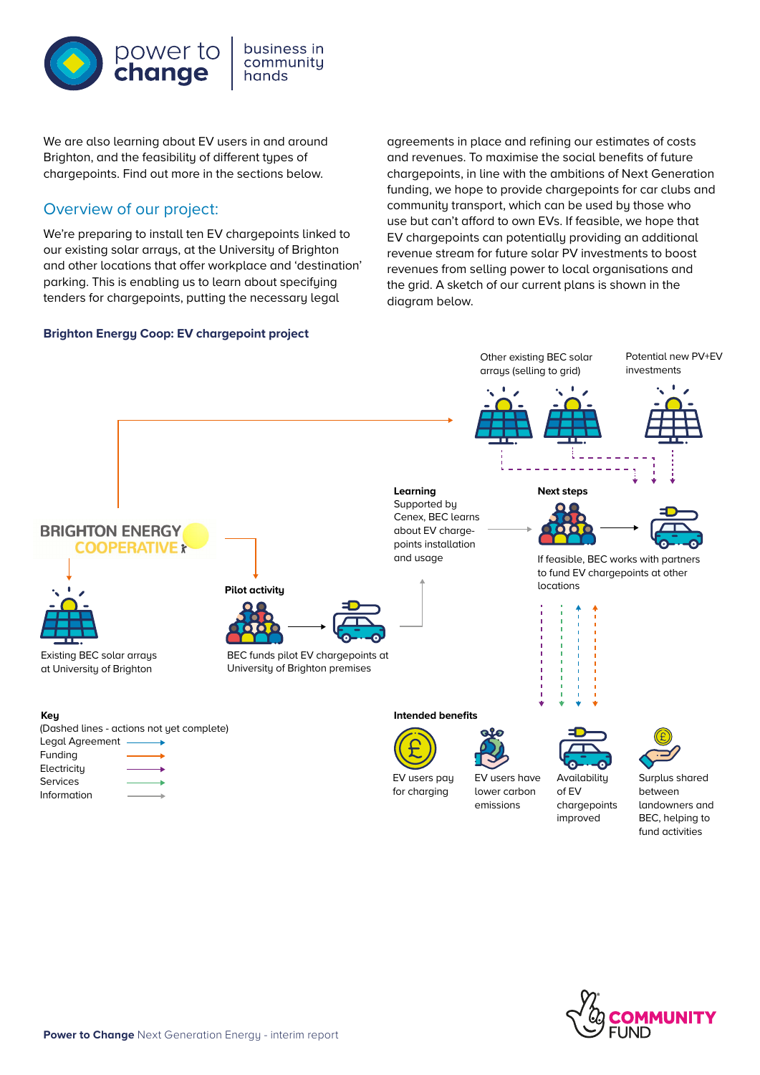

business in community hands

We are also learning about EV users in and around Brighton, and the feasibility of different types of chargepoints. Find out more in the sections below.

# Overview of our project:

We're preparing to install ten EV chargepoints linked to our existing solar arrays, at the University of Brighton and other locations that offer workplace and 'destination' parking. This is enabling us to learn about specifying tenders for chargepoints, putting the necessary legal

#### **Brighton Energy Coop: EV chargepoint project**

agreements in place and refining our estimates of costs and revenues. To maximise the social benefits of future chargepoints, in line with the ambitions of Next Generation funding, we hope to provide chargepoints for car clubs and community transport, which can be used by those who use but can't afford to own EVs. If feasible, we hope that EV chargepoints can potentially providing an additional revenue stream for future solar PV investments to boost revenues from selling power to local organisations and the grid. A sketch of our current plans is shown in the diagram below.